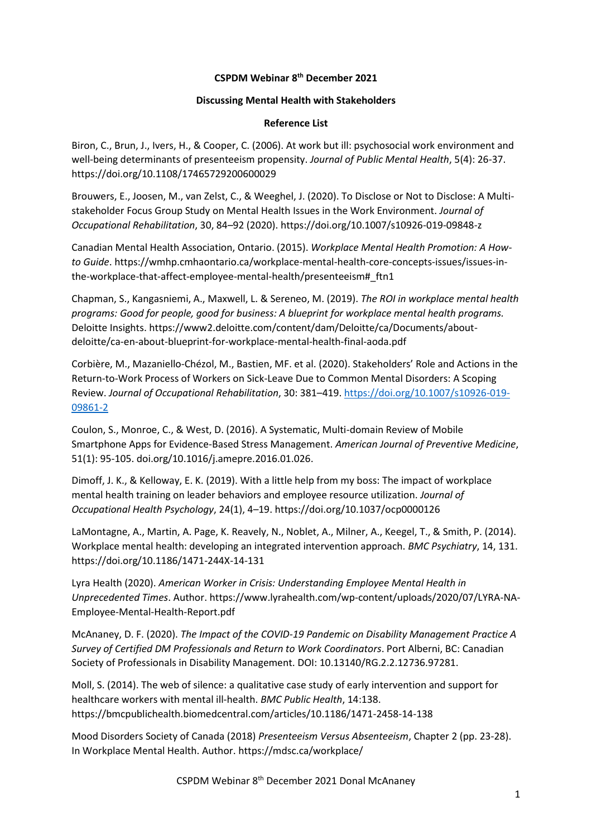## **CSPDM Webinar 8 th December 2021**

## **Discussing Mental Health with Stakeholders**

## **Reference List**

Biron, C., Brun, J., Ivers, H., & Cooper, C. (2006). At work but ill: psychosocial work environment and well-being determinants of presenteeism propensity. *Journal of Public Mental Health*, 5(4): 26-37. https://doi.org/10.1108/17465729200600029

Brouwers, E., Joosen, M., van Zelst, C., & Weeghel, J. (2020). To Disclose or Not to Disclose: A Multistakeholder Focus Group Study on Mental Health Issues in the Work Environment. *Journal of Occupational Rehabilitation*, 30, 84–92 (2020). https://doi.org/10.1007/s10926-019-09848-z

Canadian Mental Health Association, Ontario. (2015). *Workplace Mental Health Promotion: A Howto Guide*. https://wmhp.cmhaontario.ca/workplace-mental-health-core-concepts-issues/issues-inthe-workplace-that-affect-employee-mental-health/presenteeism#\_ftn1

Chapman, S., Kangasniemi, A., Maxwell, L. & Sereneo, M. (2019). *The ROI in workplace mental health programs: Good for people, good for business: A blueprint for workplace mental health programs.* Deloitte Insights. https://www2.deloitte.com/content/dam/Deloitte/ca/Documents/aboutdeloitte/ca-en-about-blueprint-for-workplace-mental-health-final-aoda.pdf

Corbière, M., Mazaniello-Chézol, M., Bastien, MF. et al. (2020). Stakeholders' Role and Actions in the Return-to-Work Process of Workers on Sick-Leave Due to Common Mental Disorders: A Scoping Review. *Journal of Occupational Rehabilitation*, 30: 381–419. [https://doi.org/10.1007/s10926-019-](https://doi.org/10.1007/s10926-019-09861-2) [09861-2](https://doi.org/10.1007/s10926-019-09861-2)

Coulon, S., Monroe, C., & West, D. (2016). A Systematic, Multi-domain Review of Mobile Smartphone Apps for Evidence-Based Stress Management. *American Journal of Preventive Medicine*, 51(1): 95-105. doi.org/10.1016/j.amepre.2016.01.026.

Dimoff, J. K., & Kelloway, E. K. (2019). With a little help from my boss: The impact of workplace mental health training on leader behaviors and employee resource utilization. *Journal of Occupational Health Psychology*, 24(1), 4–19. https://doi.org/10.1037/ocp0000126

LaMontagne, A., Martin, A. Page, K. Reavely, N., Noblet, A., Milner, A., Keegel, T., & Smith, P. (2014). Workplace mental health: developing an integrated intervention approach. *BMC Psychiatry*, 14, 131. https://doi.org/10.1186/1471-244X-14-131

Lyra Health (2020). *American Worker in Crisis: Understanding Employee Mental Health in Unprecedented Times*. Author. https://www.lyrahealth.com/wp-content/uploads/2020/07/LYRA-NA-Employee-Mental-Health-Report.pdf

McAnaney, D. F. (2020). *The Impact of the COVID-19 Pandemic on Disability Management Practice A Survey of Certified DM Professionals and Return to Work Coordinators*. Port Alberni, BC: Canadian Society of Professionals in Disability Management. DOI: 10.13140/RG.2.2.12736.97281.

Moll, S. (2014). The web of silence: a qualitative case study of early intervention and support for healthcare workers with mental ill-health. *BMC Public Health*, 14:138. https://bmcpublichealth.biomedcentral.com/articles/10.1186/1471-2458-14-138

Mood Disorders Society of Canada (2018) *Presenteeism Versus Absenteeism*, Chapter 2 (pp. 23-28). In Workplace Mental Health. Author. https://mdsc.ca/workplace/